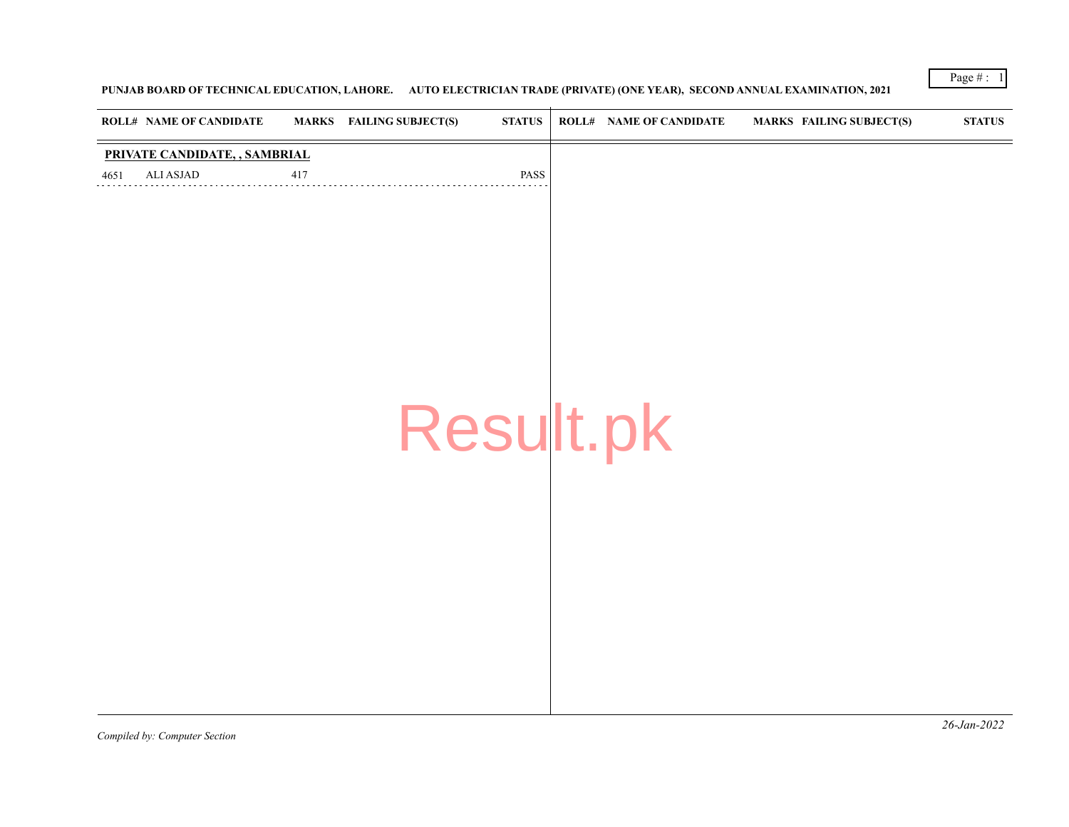Page  $\# : 1$ 

## **PUNJAB BOARD OF TECHNICAL EDUCATION, LAHORE. AUTO ELECTRICIAN TRADE (PRIVATE) (ONE YEAR), SECOND ANNUAL EXAMINATION, 2021**

|      | <b>ROLL# NAME OF CANDIDATE</b> |     | MARKS FAILING SUBJECT(S) | $\boldsymbol{\mathrm{STATUS}}$ | <b>ROLL# NAME OF CANDIDATE</b> | <b>MARKS FAILING SUBJECT(S)</b> | $\boldsymbol{\text{STATUS}}$ |
|------|--------------------------------|-----|--------------------------|--------------------------------|--------------------------------|---------------------------------|------------------------------|
|      | PRIVATE CANDIDATE, , SAMBRIAL  |     |                          |                                |                                |                                 |                              |
| 4651 | ALI ASJAD                      | 417 |                          | PASS                           |                                |                                 |                              |
|      |                                |     |                          |                                |                                |                                 |                              |
|      |                                |     |                          |                                |                                |                                 |                              |
|      |                                |     |                          |                                |                                |                                 |                              |
|      |                                |     |                          |                                |                                |                                 |                              |
|      |                                |     |                          |                                |                                |                                 |                              |
|      |                                |     |                          |                                |                                |                                 |                              |
|      |                                |     |                          |                                |                                |                                 |                              |
|      |                                |     |                          |                                |                                |                                 |                              |
|      |                                |     | Result.pk                |                                |                                |                                 |                              |
|      |                                |     |                          |                                |                                |                                 |                              |
|      |                                |     |                          |                                |                                |                                 |                              |
|      |                                |     |                          |                                |                                |                                 |                              |
|      |                                |     |                          |                                |                                |                                 |                              |
|      |                                |     |                          |                                |                                |                                 |                              |
|      |                                |     |                          |                                |                                |                                 |                              |
|      |                                |     |                          |                                |                                |                                 |                              |
|      |                                |     |                          |                                |                                |                                 |                              |
|      |                                |     |                          |                                |                                |                                 |                              |
|      |                                |     |                          |                                |                                |                                 |                              |
|      |                                |     |                          |                                |                                |                                 |                              |

*Compiled by: Computer Section*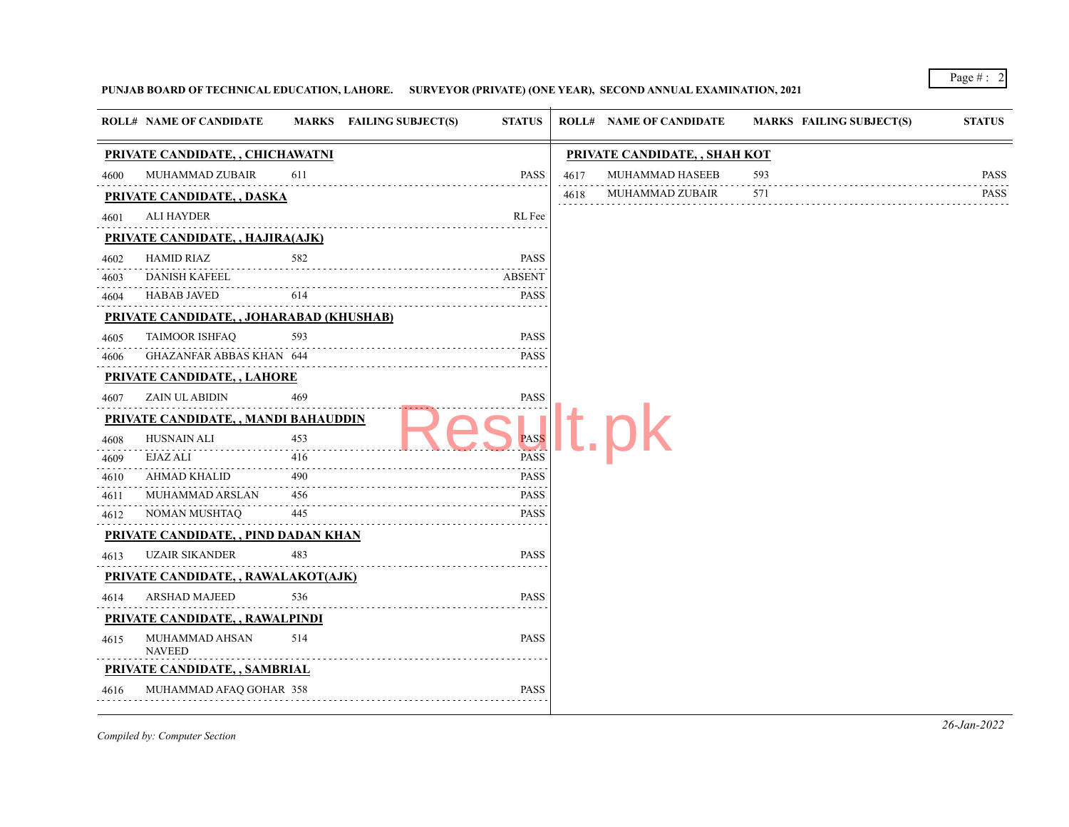Page # : 2

## **PUNJAB BOARD OF TECHNICAL EDUCATION, LAHORE. SURVEYOR (PRIVATE) (ONE YEAR), SECOND ANNUAL EXAMINATION, 2021**

|      | <b>ROLL# NAME OF CANDIDATE</b>                  |     | MARKS FAILING SUBJECT(S) | <b>STATUS</b>                                                                                                                                                                                  |      | <b>ROLL# NAME OF CANDIDATE</b> | <b>MARKS FAILING SUBJECT(S)</b> | <b>STATUS</b> |
|------|-------------------------------------------------|-----|--------------------------|------------------------------------------------------------------------------------------------------------------------------------------------------------------------------------------------|------|--------------------------------|---------------------------------|---------------|
|      | PRIVATE CANDIDATE, , CHICHAWATNI                |     |                          |                                                                                                                                                                                                |      | PRIVATE CANDIDATE, , SHAH KOT  |                                 |               |
| 4600 | MUHAMMAD ZUBAIR                                 | 611 |                          | <b>PASS</b>                                                                                                                                                                                    | 4617 | MUHAMMAD HASEEB                | 593                             | <b>PASS</b>   |
|      | <b>PRIVATE CANDIDATE, , DASKA</b>               |     |                          |                                                                                                                                                                                                | 4618 | MUHAMMAD ZUBAIR                | 571                             | <b>PASS</b>   |
| 4601 | <b>ALI HAYDER</b>                               |     |                          | RL Fee                                                                                                                                                                                         |      |                                |                                 |               |
|      | <b>PRIVATE CANDIDATE, , HAJIRA(AJK)</b>         |     |                          |                                                                                                                                                                                                |      |                                |                                 |               |
| 4602 | <b>HAMID RIAZ</b>                               | 582 |                          | <b>PASS</b>                                                                                                                                                                                    |      |                                |                                 |               |
| 4603 | DANISH KAFEEL                                   |     |                          | <b>ABSENT</b>                                                                                                                                                                                  |      |                                |                                 |               |
| 4604 | <b>HABAB JAVED</b>                              | 614 |                          | <b>PASS</b><br>.                                                                                                                                                                               |      |                                |                                 |               |
|      | <b>PRIVATE CANDIDATE, , JOHARABAD (KHUSHAB)</b> |     |                          |                                                                                                                                                                                                |      |                                |                                 |               |
| 4605 | <b>TAIMOOR ISHFAQ</b>                           | 593 |                          | <b>PASS</b>                                                                                                                                                                                    |      |                                |                                 |               |
| 4606 | GHAZANFAR ABBAS KHAN 644                        |     |                          | <b>PASS</b>                                                                                                                                                                                    |      |                                |                                 |               |
|      | PRIVATE CANDIDATE, , LAHORE                     |     |                          |                                                                                                                                                                                                |      |                                |                                 |               |
| 4607 | ZAIN UL ABIDIN                                  | 469 |                          | <b>PASS</b>                                                                                                                                                                                    |      |                                |                                 |               |
|      | PRIVATE CANDIDATE, , MANDI BAHAUDDIN            |     |                          |                                                                                                                                                                                                |      |                                |                                 |               |
| 4608 | HUSNAIN ALI<br>LI 453                           |     |                          | <b>PASS</b>                                                                                                                                                                                    |      |                                |                                 |               |
| 4609 | EJAZ ALI                                        | 416 |                          | <b>PASS</b>                                                                                                                                                                                    |      |                                |                                 |               |
| 4610 | AHMAD KHALID                                    | 490 |                          | <b>PASS</b>                                                                                                                                                                                    |      |                                |                                 |               |
| 4611 | MUHAMMAD ARSLAN                                 | 456 |                          | <b>PASS</b><br>$\frac{1}{2} \left( \frac{1}{2} \right) \left( \frac{1}{2} \right) \left( \frac{1}{2} \right) \left( \frac{1}{2} \right) \left( \frac{1}{2} \right) \left( \frac{1}{2} \right)$ |      |                                |                                 |               |
| 4612 | NOMAN MUSHTAQ                                   | 445 |                          | <b>PASS</b>                                                                                                                                                                                    |      |                                |                                 |               |
|      | <b>PRIVATE CANDIDATE, , PIND DADAN KHAN</b>     |     |                          |                                                                                                                                                                                                |      |                                |                                 |               |
| 4613 | <b>UZAIR SIKANDER</b>                           | 483 |                          | <b>PASS</b><br>$- - - - - -$                                                                                                                                                                   |      |                                |                                 |               |
|      | PRIVATE CANDIDATE,, RAWALAKOT(AJK)              |     |                          |                                                                                                                                                                                                |      |                                |                                 |               |
| 4614 | ARSHAD MAJEED                                   | 536 |                          | <b>PASS</b>                                                                                                                                                                                    |      |                                |                                 |               |
|      | PRIVATE CANDIDATE, , RAWALPINDI                 |     |                          |                                                                                                                                                                                                |      |                                |                                 |               |
| 4615 | MUHAMMAD AHSAN<br><b>NAVEED</b>                 | 514 |                          | <b>PASS</b>                                                                                                                                                                                    |      |                                |                                 |               |
|      | PRIVATE CANDIDATE, , SAMBRIAL                   |     |                          |                                                                                                                                                                                                |      |                                |                                 |               |
| 4616 | MUHAMMAD AFAQ GOHAR 358                         |     |                          | <b>PASS</b>                                                                                                                                                                                    |      |                                |                                 |               |

*Compiled by: Computer Section*